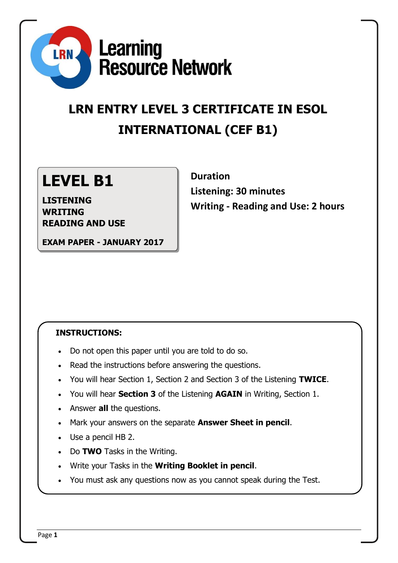

# **LRN ENTRY LEVEL 3 CERTIFICATE IN ESOL INTERNATIONAL (CEF B1)**

## **LEVEL B1**

**LISTENING WRITING READING AND USE**

**EXAM PAPER - JANUARY 2017**

## **Duration Listening: 30 minutes Writing - Reading and Use: 2 hours**

## **INSTRUCTIONS:**

- Do not open this paper until you are told to do so.
- Read the instructions before answering the questions.
- You will hear Section 1, Section 2 and Section 3 of the Listening **TWICE**.
- You will hear **Section 3** of the Listening **AGAIN** in Writing, Section 1.
- Answer **all** the questions.
- Mark your answers on the separate **Answer Sheet in pencil**.
- Use a pencil HB 2.
- Do **TWO** Tasks in the Writing.
- Write your Tasks in the **Writing Booklet in pencil**.
- You must ask any questions now as you cannot speak during the Test.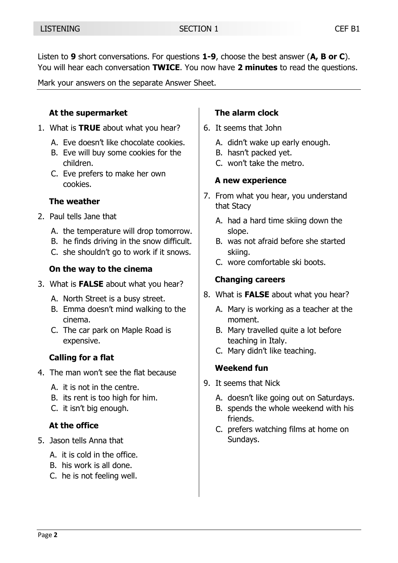Listen to **9** short conversations. For questions **1-9**, choose the best answer (**A, B or C**). You will hear each conversation **TWICE**. You now have **2 minutes** to read the questions.

Mark your answers on the separate Answer Sheet.

### **At the supermarket**

- 1. What is **TRUE** about what you hear?
	- A. Eve doesn't like chocolate cookies.
	- B. Eve will buy some cookies for the children.
	- C. Eve prefers to make her own cookies.

#### **The weather**

- 2. Paul tells Jane that
	- A. the temperature will drop tomorrow.
	- B. he finds driving in the snow difficult.
	- C. she shouldn't go to work if it snows.

## **On the way to the cinema**

- 3. What is **FALSE** about what you hear?
	- A. North Street is a busy street.
	- B. Emma doesn't mind walking to the cinema.
	- C. The car park on Maple Road is expensive.

## **Calling for a flat**

- 4. The man won't see the flat because
	- A. it is not in the centre.
	- B. its rent is too high for him.
	- C. it isn't big enough.

## **At the office**

- 5. Jason tells Anna that
	- A. it is cold in the office.
	- B. his work is all done.
	- C. he is not feeling well.

## **The alarm clock**

- 6. It seems that John
	- A. didn't wake up early enough.
	- B. hasn't packed yet.
	- C. won't take the metro.

## **A new experience**

- 7. From what you hear, you understand that Stacy
	- A. had a hard time skiing down the slope.
	- B. was not afraid before she started skiing.
	- C. wore comfortable ski boots.

## **Changing careers**

- 8. What is **FALSE** about what you hear?
	- A. Mary is working as a teacher at the moment.
	- B. Mary travelled quite a lot before teaching in Italy.
	- C. Mary didn't like teaching.

## **Weekend fun**

- 9. It seems that Nick
	- A. doesn't like going out on Saturdays.
	- B. spends the whole weekend with his friends.
	- C. prefers watching films at home on Sundays.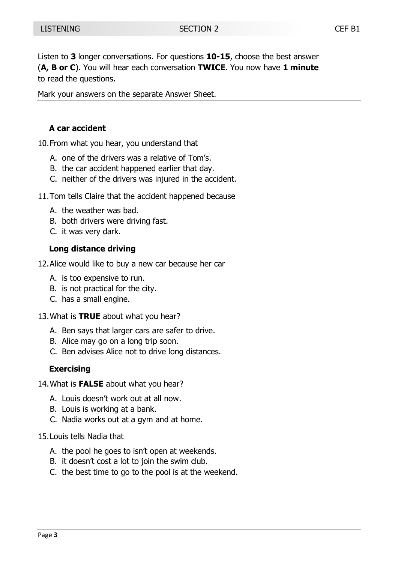Listen to **3** longer conversations. For questions **10-15**, choose the best answer (**A, B or C**). You will hear each conversation **TWICE**. You now have **1 minute** to read the questions.

Mark your answers on the separate Answer Sheet.

#### **A car accident**

10.From what you hear, you understand that

- A. one of the drivers was a relative of Tom's.
- B. the car accident happened earlier that day.
- C. neither of the drivers was injured in the accident.
- 11.Tom tells Claire that the accident happened because
	- A. the weather was bad.
	- B. both drivers were driving fast.
	- C. it was very dark.

#### **Long distance driving**

- 12.Alice would like to buy a new car because her car
	- A. is too expensive to run.
	- B. is not practical for the city.
	- C. has a small engine.
- 13.What is **TRUE** about what you hear?
	- A. Ben says that larger cars are safer to drive.
	- B. Alice may go on a long trip soon.
	- C. Ben advises Alice not to drive long distances.

#### **Exercising**

- 14.What is **FALSE** about what you hear?
	- A. Louis doesn't work out at all now.
	- B. Louis is working at a bank.
	- C. Nadia works out at a gym and at home.
- 15.Louis tells Nadia that
	- A. the pool he goes to isn't open at weekends.
	- B. it doesn't cost a lot to join the swim club.
	- C. the best time to go to the pool is at the weekend.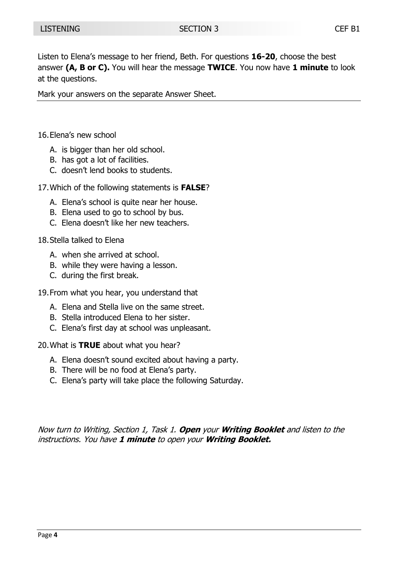Listen to Elena's message to her friend, Beth. For questions **16-20**, choose the best answer **(A, B or C).** You will hear the message **TWICE**. You now have **1 minute** to look at the questions.

Mark your answers on the separate Answer Sheet.

16.Elena's new school

- A. is bigger than her old school.
- B. has got a lot of facilities.
- C. doesn't lend books to students.
- 17.Which of the following statements is **FALSE**?
	- A. Elena's school is quite near her house.
	- B. Elena used to go to school by bus.
	- C. Elena doesn't like her new teachers.
- 18.Stella talked to Elena
	- A. when she arrived at school.
	- B. while they were having a lesson.
	- C. during the first break.
- 19.From what you hear, you understand that
	- A. Elena and Stella live on the same street.
	- B. Stella introduced Elena to her sister.
	- C. Elena's first day at school was unpleasant.

20.What is **TRUE** about what you hear?

- A. Elena doesn't sound excited about having a party.
- B. There will be no food at Elena's party.
- C. Elena's party will take place the following Saturday.

Now turn to Writing, Section 1, Task 1. **Open** your **Writing Booklet** and listen to the instructions. You have **1 minute** to open your **Writing Booklet.**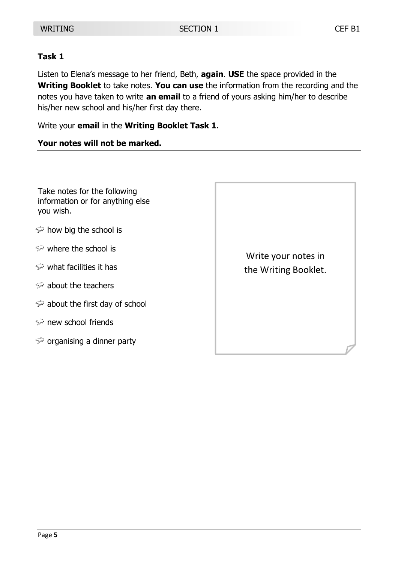#### **Task 1**

Listen to Elena's message to her friend, Beth, **again**. **USE** the space provided in the **Writing Booklet** to take notes. **You can use** the information from the recording and the notes you have taken to write **an email** to a friend of yours asking him/her to describe his/her new school and his/her first day there.

Write your **email** in the **Writing Booklet Task 1**.

#### **Your notes will not be marked.**

Take notes for the following information or for anything else you wish.

- $\hat{P}$  how big the school is
- $\mathcal{P}$  where the school is
- $\mathcal{P}$  what facilities it has
- $\Rightarrow$  about the teachers
- $\Rightarrow$  about the first day of school
- $\gg$  new school friends
- $\gg$  organising a dinner party

Write your notes in the Writing Booklet.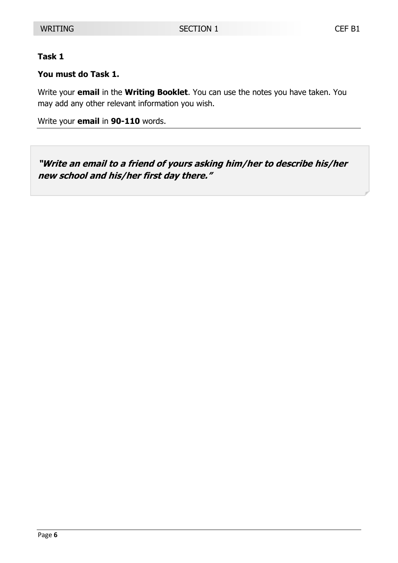#### **Task 1**

#### **You must do Task 1.**

Write your **email** in the **Writing Booklet**. You can use the notes you have taken. You may add any other relevant information you wish.

Write your **email** in **90-110** words.

**"Write an email to a friend of yours asking him/her to describe his/her new school and his/her first day there."**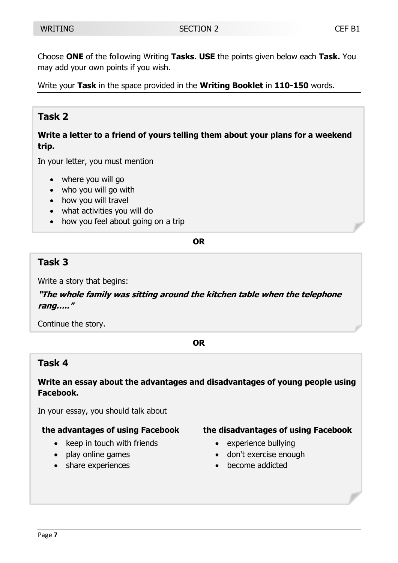Choose **ONE** of the following Writing **Tasks**. **USE** the points given below each **Task.** You may add your own points if you wish.

Write your **Task** in the space provided in the **Writing Booklet** in **110-150** words.

## **Task 2**

**Write a letter to a friend of yours telling them about your plans for a weekend trip.**

In your letter, you must mention

- where you will go
- who you will go with
- how you will travel
- what activities you will do
- how you feel about going on a trip

#### **OR**

## **Task 3**

Write a story that begins:

**"The whole family was sitting around the kitchen table when the telephone rang….."**

Continue the story.

#### **OR**

## **Task 4**

**Write an essay about the advantages and disadvantages of young people using Facebook.**

In your essay, you should talk about

#### **the advantages of using Facebook**

- $\bullet$  keep in touch with friends
- play online games
- share experiences

#### **the disadvantages of using Facebook**

- experience bullying
- don't exercise enough
- become addicted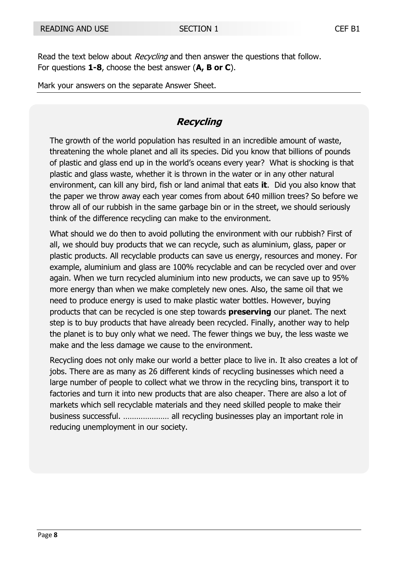Read the text below about *Recycling* and then answer the questions that follow. For questions **1-8**, choose the best answer (**A, B or C**).

Mark your answers on the separate Answer Sheet.

## **Recycling**

The growth of the world population has resulted in an incredible amount of waste, threatening the whole planet and all its species. Did you know that billions of pounds of plastic and glass end up in the world's oceans every year? What is shocking is that plastic and glass waste, whether it is thrown in the water or in any other natural environment, can kill any bird, fish or land animal that eats **it**. Did you also know that the paper we throw away each year comes from about 640 million trees? So before we throw all of our rubbish in the same garbage bin or in the street, we should seriously think of the difference recycling can make to the environment.

What should we do then to avoid polluting the environment with our rubbish? First of all, we should buy products that we can recycle, such as aluminium, glass, paper or plastic products. All recyclable products can save us energy, resources and money. For example, aluminium and glass are 100% recyclable and can be recycled over and over again. When we turn recycled aluminium into new products, we can save up to 95% more energy than when we make completely new ones. Also, the same oil that we need to produce energy is used to make plastic water bottles. However, buying products that can be recycled is one step towards **preserving** our planet. The next step is to buy products that have already been recycled. Finally, another way to help the planet is to buy only what we need. The fewer things we buy, the less waste we make and the less damage we cause to the environment.

Recycling does not only make our world a better place to live in. It also creates a lot of jobs. There are as many as 26 different kinds of recycling businesses which need a large number of people to collect what we throw in the recycling bins, transport it to factories and turn it into new products that are also cheaper. There are also a lot of markets which sell recyclable materials and they need skilled people to make their business successful. ………………… all recycling businesses play an important role in reducing unemployment in our society.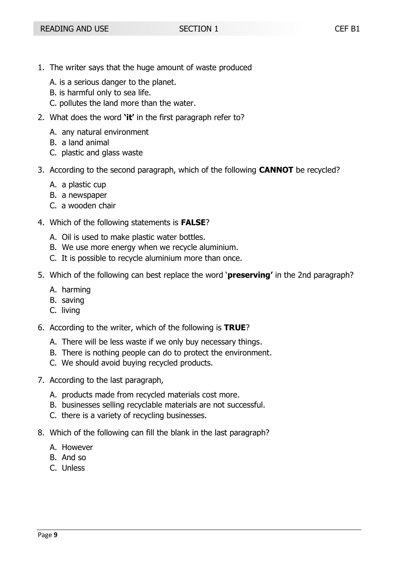- 1. The writer says that the huge amount of waste produced
	- A. is a serious danger to the planet.
	- B. is harmful only to sea life.
	- C. pollutes the land more than the water.
- 2. What does the word **'it'** in the first paragraph refer to?
	- A. any natural environment
	- B. a land animal
	- C. plastic and glass waste
- 3. According to the second paragraph, which of the following **CANNOT** be recycled?
	- A. a plastic cup
	- B. a newspaper
	- C. a wooden chair
- 4. Which of the following statements is **FALSE**?
	- A. Oil is used to make plastic water bottles.
	- B. We use more energy when we recycle aluminium.
	- C. It is possible to recycle aluminium more than once.
- 5. Which of the following can best replace the word '**preserving'** in the 2nd paragraph?
	- A. harming
	- B. saving
	- C. living
- 6. According to the writer, which of the following is **TRUE**?
	- A. There will be less waste if we only buy necessary things.
	- B. There is nothing people can do to protect the environment.
	- C. We should avoid buying recycled products.
- 7. According to the last paragraph,
	- A. products made from recycled materials cost more.
	- B. businesses selling recyclable materials are not successful.
	- C. there is a variety of recycling businesses.
- 8. Which of the following can fill the blank in the last paragraph?
	- A. However
	- B. And so
	- C. Unless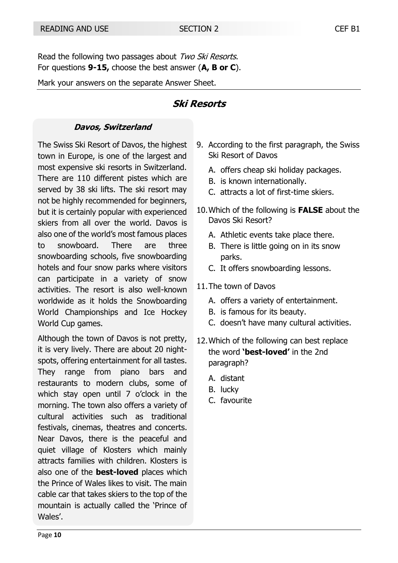Read the following two passages about Two Ski Resorts. For questions **9-15,** choose the best answer (**A, B or C**).

Mark your answers on the separate Answer Sheet.

## **Ski Resorts**

#### **Davos, Switzerland**

The Swiss Ski Resort of Davos, the highest town in Europe, is one of the largest and most expensive ski resorts in Switzerland. There are 110 different pistes which are served by 38 ski lifts. The ski resort may not be highly recommended for beginners, but it is certainly popular with experienced skiers from all over the world. Davos is also one of the world's most famous places to snowboard. There are three snowboarding schools, five snowboarding hotels and four snow parks where visitors can participate in a variety of snow activities. The resort is also well-known worldwide as it holds the Snowboarding World Championships and Ice Hockey World Cup games.

Although the town of Davos is not pretty, it is very lively. There are about 20 nightspots, offering entertainment for all tastes. They range from piano bars and restaurants to modern clubs, some of which stay open until 7 o'clock in the morning. The town also offers a variety of cultural activities such as traditional festivals, cinemas, theatres and concerts. Near Davos, there is the peaceful and quiet village of Klosters which mainly attracts families with children. Klosters is also one of the **best-loved** places which the Prince of Wales likes to visit. The main cable car that takes skiers to the top of the mountain is actually called the 'Prince of Wales'.

- 9. According to the first paragraph, the Swiss Ski Resort of Davos
	- A. offers cheap ski holiday packages.
	- B. is known internationally.
	- C. attracts a lot of first-time skiers.
- 10.Which of the following is **FALSE** about the Davos Ski Resort?
	- A. Athletic events take place there.
	- B. There is little going on in its snow parks.
	- C. It offers snowboarding lessons.
- 11.The town of Davos
	- A. offers a variety of entertainment.
	- B. is famous for its beauty.
	- C. doesn't have many cultural activities.
- 12.Which of the following can best replace the word **'best-loved'** in the 2nd paragraph?
	- A. distant
	- B. lucky
	- C. favourite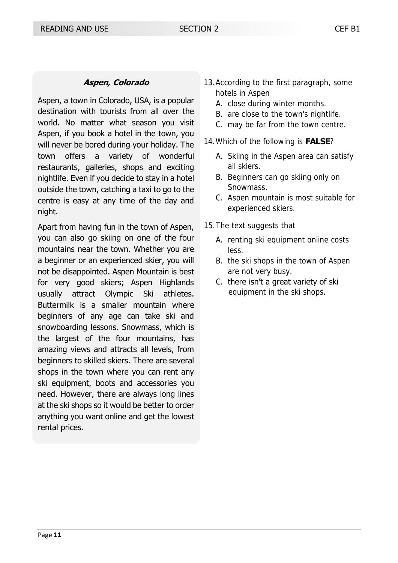#### **Aspen, Colorado**

Aspen, a town in Colorado, USA, is a popular destination with tourists from all over the world. No matter what season you visit Aspen, if you book a hotel in the town, you will never be bored during your holiday. The town offers a variety of wonderful restaurants, galleries, shops and exciting nightlife. Even if you decide to stay in a hotel outside the town, catching a taxi to go to the centre is easy at any time of the day and night.

Apart from having fun in the town of Aspen, you can also go skiing on one of the four mountains near the town. Whether you are a beginner or an experienced skier, you will not be disappointed. Aspen Mountain is best for very good skiers; Aspen Highlands usually attract Olympic Ski athletes. Buttermilk is a smaller mountain where beginners of any age can take ski and snowboarding lessons. Snowmass, which is the largest of the four mountains, has amazing views and attracts all levels, from beginners to skilled skiers. There are several shops in the town where you can rent any ski equipment, boots and accessories you need. However, there are always long lines at the ski shops so it would be better to order anything you want online and get the lowest rental prices.

- 13.According to the first paragraph, some hotels in Aspen
	- A. close during winter months.
	- B. are close to the town's nightlife.
	- C. may be far from the town centre.
- 14.Which of the following is **FALSE**?
	- A. Skiing in the Aspen area can satisfy all skiers.
	- B. Beginners can go skiing only on Snowmass.
	- C. Aspen mountain is most suitable for experienced skiers.
- 15.The text suggests that
	- A. renting ski equipment online costs less.
	- B. the ski shops in the town of Aspen are not very busy.
	- C. there isn't a great variety of ski equipment in the ski shops.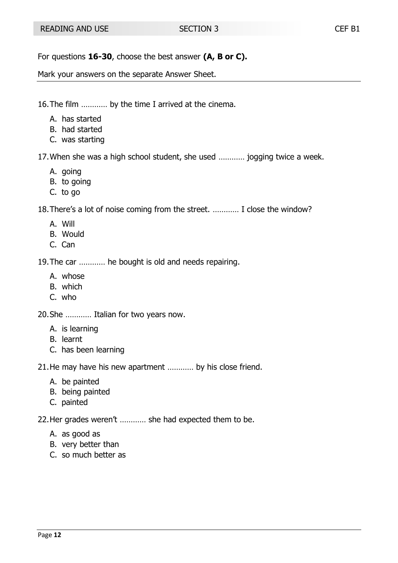For questions **16-30**, choose the best answer **(A, B or C).**

Mark your answers on the separate Answer Sheet.

16.The film ………… by the time I arrived at the cinema.

- A. has started
- B. had started
- C. was starting

17.When she was a high school student, she used ………… jogging twice a week.

- A. going
- B. to going
- C. to go

18.There's a lot of noise coming from the street. ………… I close the window?

- A. Will
- B. Would
- C. Can

19.The car ………… he bought is old and needs repairing.

- A. whose
- B. which
- C. who

20.She ………… Italian for two years now.

- A. is learning
- B. learnt
- C. has been learning

21.He may have his new apartment ………… by his close friend.

- A. be painted
- B. being painted
- C. painted

22.Her grades weren't ………… she had expected them to be.

- A. as good as
- B. very better than
- C. so much better as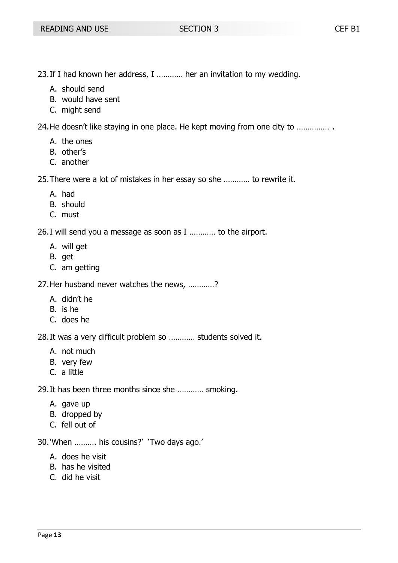- 23.If I had known her address, I ………… her an invitation to my wedding.
	- A. should send
	- B. would have sent
	- C. might send

24.He doesn't like staying in one place. He kept moving from one city to …………… .

- A. the ones
- B. other's
- C. another

25.There were a lot of mistakes in her essay so she ………… to rewrite it.

- A. had
- B. should
- C. must

26.I will send you a message as soon as I ………… to the airport.

- A. will get
- B. get
- C. am getting

27.Her husband never watches the news, …………?

- A. didn't he
- B. is he
- C. does he

28.It was a very difficult problem so ………… students solved it.

- A. not much
- B. very few
- C. a little

29.It has been three months since she ………… smoking.

- A. gave up
- B. dropped by
- C. fell out of

30.'When ………. his cousins?' 'Two days ago.'

- A. does he visit
- B. has he visited
- C. did he visit